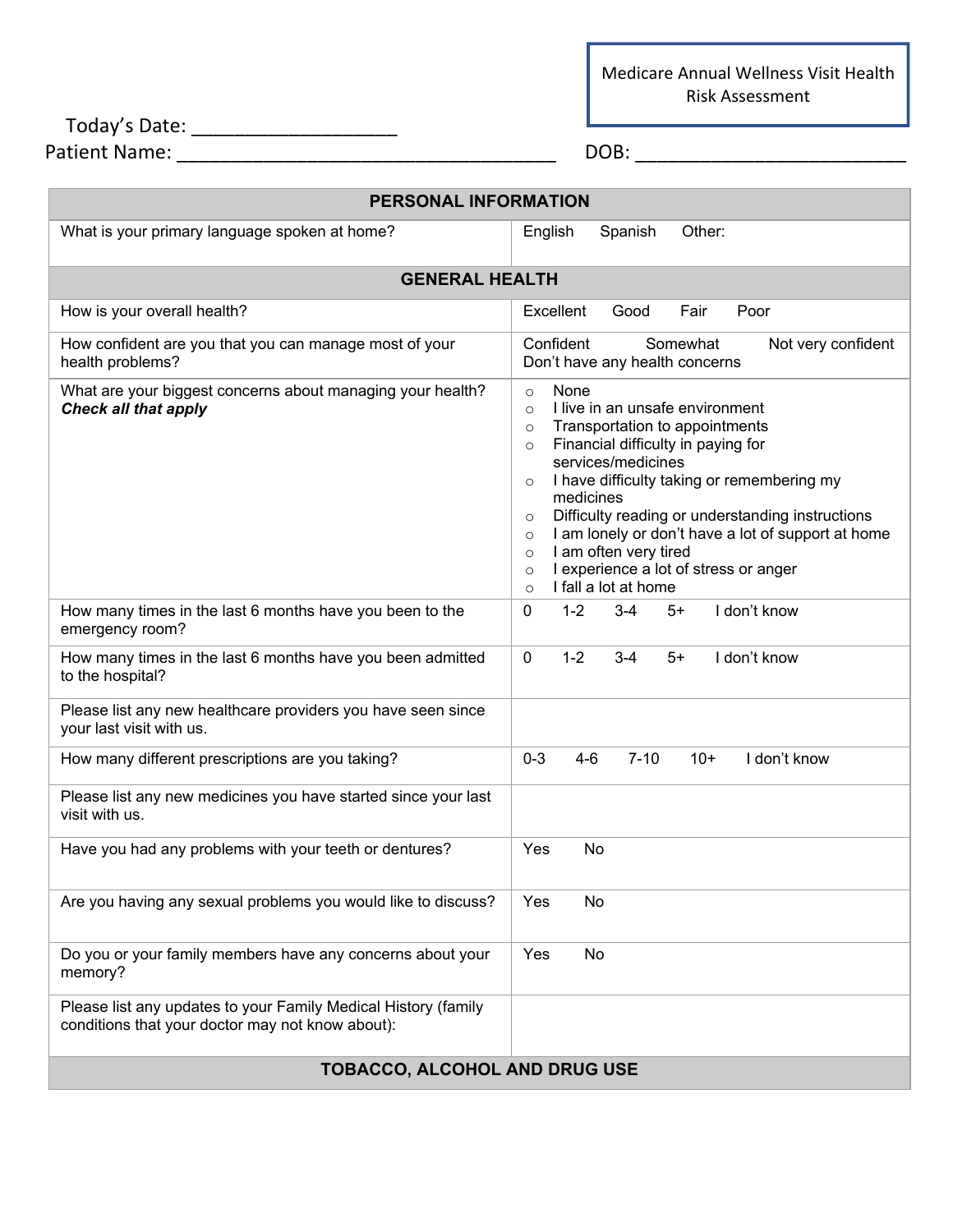Medicare Annual Wellness Visit Health Risk Assessment

| Today's Date:        |            |
|----------------------|------------|
| <b>Patient Name:</b> | <b>DOB</b> |

| <b>PERSONAL INFORMATION</b>                                                                                        |                                                                                                                                                                                                                                                                                                                                                                                                                                                                                                                    |  |
|--------------------------------------------------------------------------------------------------------------------|--------------------------------------------------------------------------------------------------------------------------------------------------------------------------------------------------------------------------------------------------------------------------------------------------------------------------------------------------------------------------------------------------------------------------------------------------------------------------------------------------------------------|--|
| What is your primary language spoken at home?                                                                      | Spanish<br>Other:<br>English                                                                                                                                                                                                                                                                                                                                                                                                                                                                                       |  |
| <b>GENERAL HEALTH</b>                                                                                              |                                                                                                                                                                                                                                                                                                                                                                                                                                                                                                                    |  |
| How is your overall health?                                                                                        | Excellent<br>Fair<br>Poor<br>Good                                                                                                                                                                                                                                                                                                                                                                                                                                                                                  |  |
| How confident are you that you can manage most of your<br>health problems?                                         | Confident<br>Somewhat<br>Not very confident<br>Don't have any health concerns                                                                                                                                                                                                                                                                                                                                                                                                                                      |  |
| What are your biggest concerns about managing your health?<br><b>Check all that apply</b>                          | None<br>$\circ$<br>I live in an unsafe environment<br>$\circ$<br>Transportation to appointments<br>$\circ$<br>Financial difficulty in paying for<br>$\circ$<br>services/medicines<br>I have difficulty taking or remembering my<br>$\circ$<br>medicines<br>Difficulty reading or understanding instructions<br>$\circ$<br>I am lonely or don't have a lot of support at home<br>$\circ$<br>I am often very tired<br>$\circ$<br>I experience a lot of stress or anger<br>$\circ$<br>I fall a lot at home<br>$\circ$ |  |
| How many times in the last 6 months have you been to the<br>emergency room?                                        | I don't know<br>$1 - 2$<br>$3 - 4$<br>$\mathbf{0}$<br>$5+$                                                                                                                                                                                                                                                                                                                                                                                                                                                         |  |
| How many times in the last 6 months have you been admitted<br>to the hospital?                                     | $1 - 2$<br>$3-4$<br>I don't know<br>$\mathbf{0}$<br>$5+$                                                                                                                                                                                                                                                                                                                                                                                                                                                           |  |
| Please list any new healthcare providers you have seen since<br>your last visit with us.                           |                                                                                                                                                                                                                                                                                                                                                                                                                                                                                                                    |  |
| How many different prescriptions are you taking?                                                                   | $7 - 10$<br>I don't know<br>$0 - 3$<br>$4-6$<br>$10+$                                                                                                                                                                                                                                                                                                                                                                                                                                                              |  |
| Please list any new medicines you have started since your last<br>visit with us.                                   |                                                                                                                                                                                                                                                                                                                                                                                                                                                                                                                    |  |
| Have you had any problems with your teeth or dentures?                                                             | Yes<br>No                                                                                                                                                                                                                                                                                                                                                                                                                                                                                                          |  |
| Are you having any sexual problems you would like to discuss?                                                      | Yes<br>No                                                                                                                                                                                                                                                                                                                                                                                                                                                                                                          |  |
| Do you or your family members have any concerns about your<br>memory?                                              | No<br>Yes                                                                                                                                                                                                                                                                                                                                                                                                                                                                                                          |  |
| Please list any updates to your Family Medical History (family<br>conditions that your doctor may not know about): |                                                                                                                                                                                                                                                                                                                                                                                                                                                                                                                    |  |
| TOBACCO, ALCOHOL AND DRUG USE                                                                                      |                                                                                                                                                                                                                                                                                                                                                                                                                                                                                                                    |  |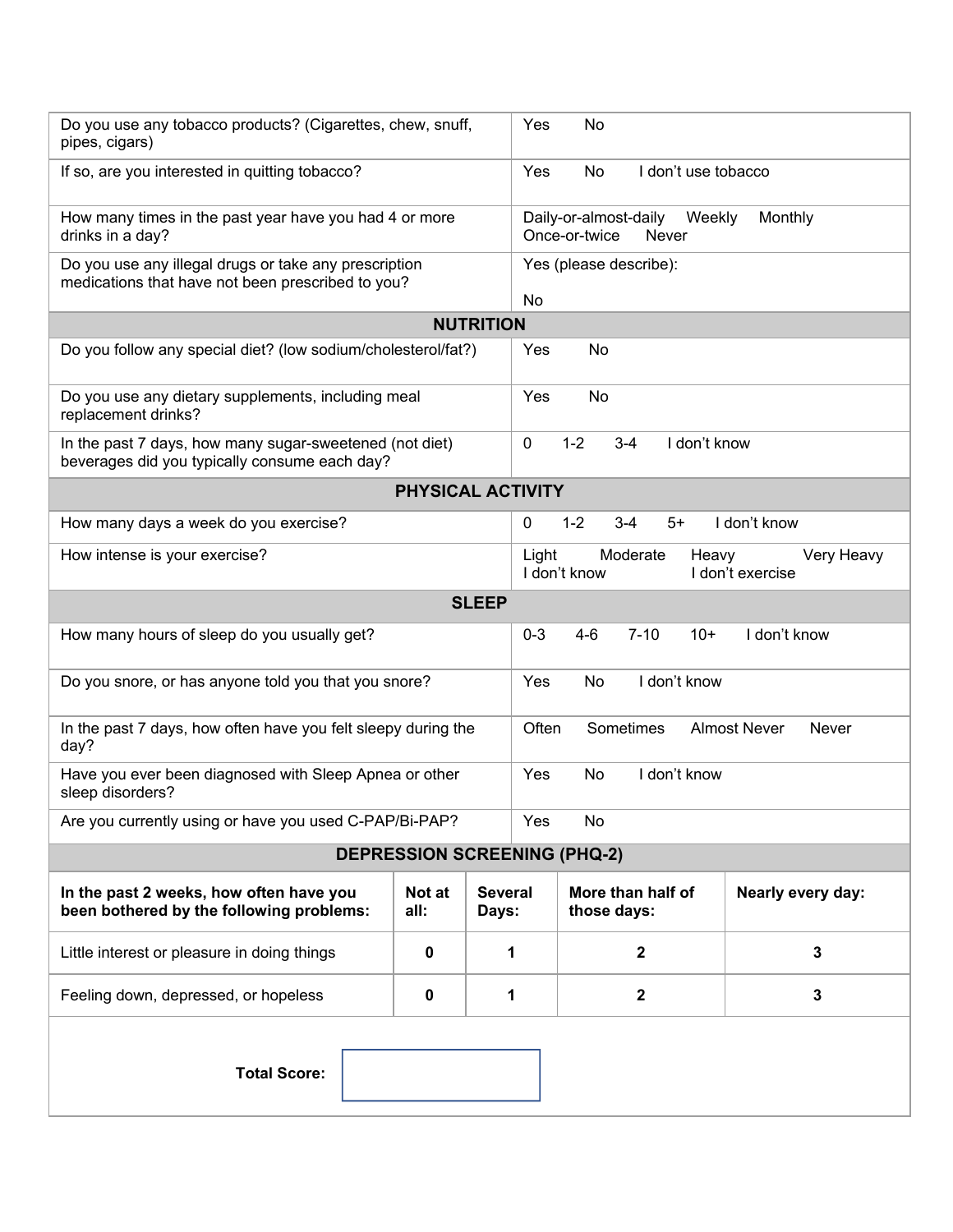| Do you use any tobacco products? (Cigarettes, chew, snuff,<br>pipes, cigars)                               |                | Yes                     | No                                                                           |
|------------------------------------------------------------------------------------------------------------|----------------|-------------------------|------------------------------------------------------------------------------|
| If so, are you interested in quitting tobacco?                                                             |                | Yes                     | I don't use tobacco<br>No                                                    |
| How many times in the past year have you had 4 or more<br>drinks in a day?                                 |                |                         | Daily-or-almost-daily<br>Weekly<br>Monthly<br>Once-or-twice<br>Never         |
| Do you use any illegal drugs or take any prescription<br>medications that have not been prescribed to you? |                |                         | Yes (please describe):                                                       |
| No<br><b>NUTRITION</b>                                                                                     |                |                         |                                                                              |
| Do you follow any special diet? (low sodium/cholesterol/fat?)                                              |                | Yes                     | No                                                                           |
|                                                                                                            |                |                         |                                                                              |
| Do you use any dietary supplements, including meal<br>replacement drinks?                                  |                | Yes                     | No                                                                           |
| In the past 7 days, how many sugar-sweetened (not diet)<br>beverages did you typically consume each day?   |                | 0                       | $1 - 2$<br>I don't know<br>$3 - 4$                                           |
| <b>PHYSICAL ACTIVITY</b>                                                                                   |                |                         |                                                                              |
| How many days a week do you exercise?                                                                      |                | 0                       | $1 - 2$<br>$3 - 4$<br>I don't know<br>$5+$                                   |
| How intense is your exercise?                                                                              |                |                         | Moderate<br>Light<br>Very Heavy<br>Heavy<br>I don't know<br>I don't exercise |
|                                                                                                            |                | <b>SLEEP</b>            |                                                                              |
| How many hours of sleep do you usually get?                                                                |                | $0 - 3$                 | I don't know<br>$4 - 6$<br>$7 - 10$<br>$10+$                                 |
| Do you snore, or has anyone told you that you snore?                                                       |                | Yes                     | I don't know<br>No                                                           |
| In the past 7 days, how often have you felt sleepy during the<br>day?                                      |                |                         | Sometimes<br><b>Almost Never</b><br>Often<br>Never                           |
| Have you ever been diagnosed with Sleep Apnea or other<br>sleep disorders?                                 |                | Yes                     | I don't know<br>No                                                           |
| Are you currently using or have you used C-PAP/Bi-PAP?                                                     |                | Yes                     | No                                                                           |
| <b>DEPRESSION SCREENING (PHQ-2)</b>                                                                        |                |                         |                                                                              |
| In the past 2 weeks, how often have you<br>been bothered by the following problems:                        | Not at<br>all: | <b>Several</b><br>Days: | More than half of<br>Nearly every day:<br>those days:                        |
| Little interest or pleasure in doing things                                                                | 0              | 1                       | $\mathbf{2}$<br>$\mathbf{3}$                                                 |
| Feeling down, depressed, or hopeless                                                                       | 0              | 1                       | $\mathbf{2}$<br>$\mathbf{3}$                                                 |
|                                                                                                            |                |                         |                                                                              |
| <b>Total Score:</b>                                                                                        |                |                         |                                                                              |
|                                                                                                            |                |                         |                                                                              |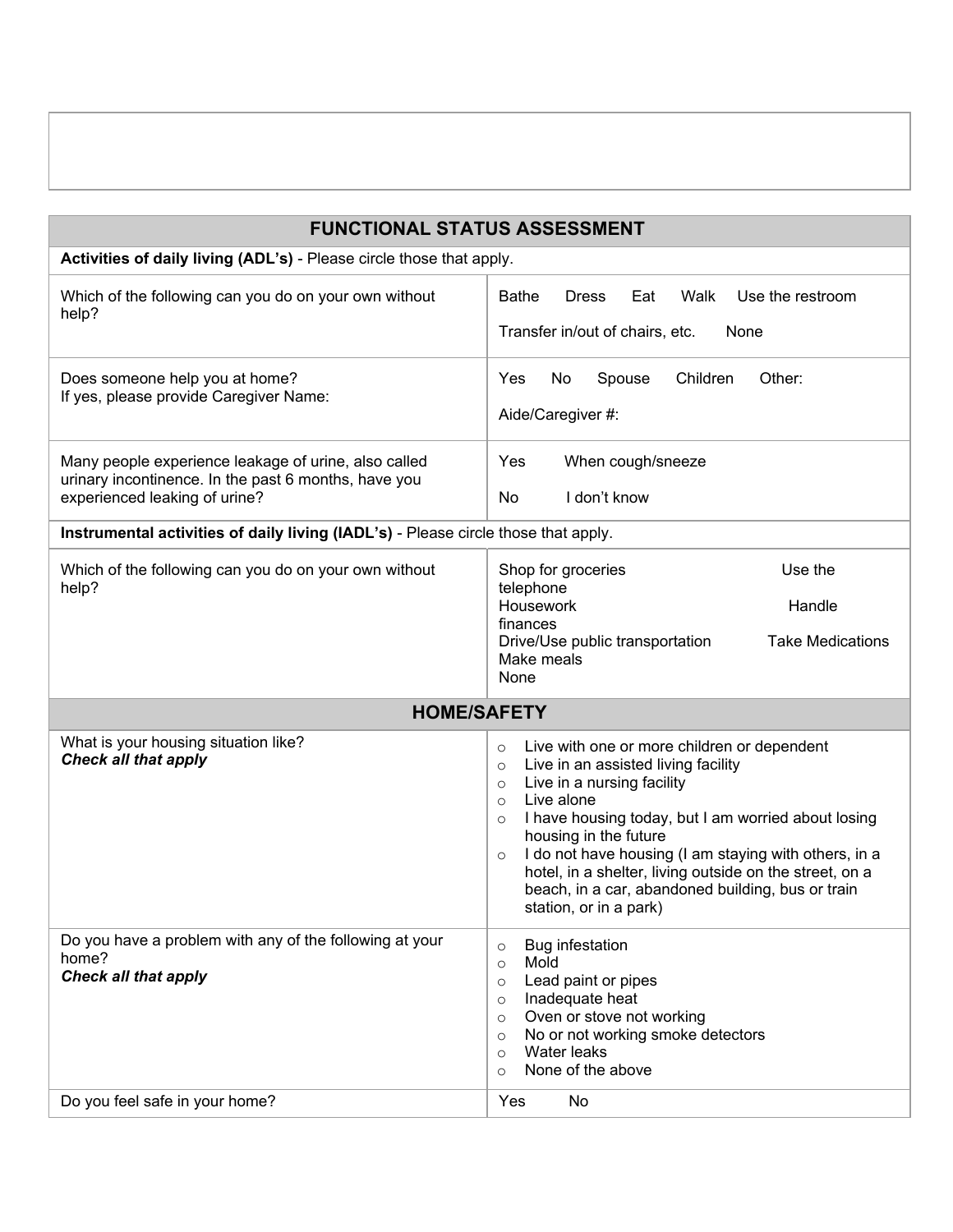| <b>FUNCTIONAL STATUS ASSESSMENT</b>                                                                                                           |                                                                                                                                                                                                                                                                                                                                                                                                                                                                                     |  |
|-----------------------------------------------------------------------------------------------------------------------------------------------|-------------------------------------------------------------------------------------------------------------------------------------------------------------------------------------------------------------------------------------------------------------------------------------------------------------------------------------------------------------------------------------------------------------------------------------------------------------------------------------|--|
| Activities of daily living (ADL's) - Please circle those that apply.                                                                          |                                                                                                                                                                                                                                                                                                                                                                                                                                                                                     |  |
| Which of the following can you do on your own without<br>help?                                                                                | Walk<br><b>Bathe</b><br><b>Dress</b><br>Eat<br>Use the restroom<br>Transfer in/out of chairs, etc.<br>None                                                                                                                                                                                                                                                                                                                                                                          |  |
| Does someone help you at home?<br>If yes, please provide Caregiver Name:                                                                      | Children<br>Other:<br><b>Yes</b><br>No<br>Spouse<br>Aide/Caregiver #:                                                                                                                                                                                                                                                                                                                                                                                                               |  |
| Many people experience leakage of urine, also called<br>urinary incontinence. In the past 6 months, have you<br>experienced leaking of urine? | Yes<br>When cough/sneeze<br>I don't know<br>No                                                                                                                                                                                                                                                                                                                                                                                                                                      |  |
| Instrumental activities of daily living (IADL's) - Please circle those that apply.                                                            |                                                                                                                                                                                                                                                                                                                                                                                                                                                                                     |  |
| Which of the following can you do on your own without<br>help?                                                                                | Shop for groceries<br>Use the<br>telephone<br>Housework<br>Handle<br>finances<br><b>Take Medications</b><br>Drive/Use public transportation<br>Make meals<br>None                                                                                                                                                                                                                                                                                                                   |  |
| <b>HOME/SAFETY</b>                                                                                                                            |                                                                                                                                                                                                                                                                                                                                                                                                                                                                                     |  |
| What is your housing situation like?<br><b>Check all that apply</b>                                                                           | Live with one or more children or dependent<br>$\circ$<br>Live in an assisted living facility<br>$\circ$<br>Live in a nursing facility<br>$\circ$<br>Live alone<br>$\circ$<br>I have housing today, but I am worried about losing<br>$\circ$<br>housing in the future<br>I do not have housing (I am staying with others, in a<br>$\circ$<br>hotel, in a shelter, living outside on the street, on a<br>beach, in a car, abandoned building, bus or train<br>station, or in a park) |  |
| Do you have a problem with any of the following at your<br>home?<br><b>Check all that apply</b>                                               | Bug infestation<br>$\circ$<br>Mold<br>$\circ$<br>Lead paint or pipes<br>$\circ$<br>Inadequate heat<br>$\circ$<br>Oven or stove not working<br>$\circ$<br>No or not working smoke detectors<br>$\circ$<br>Water leaks<br>$\circ$<br>None of the above<br>$\circ$                                                                                                                                                                                                                     |  |
| Do you feel safe in your home?                                                                                                                | Yes<br>No                                                                                                                                                                                                                                                                                                                                                                                                                                                                           |  |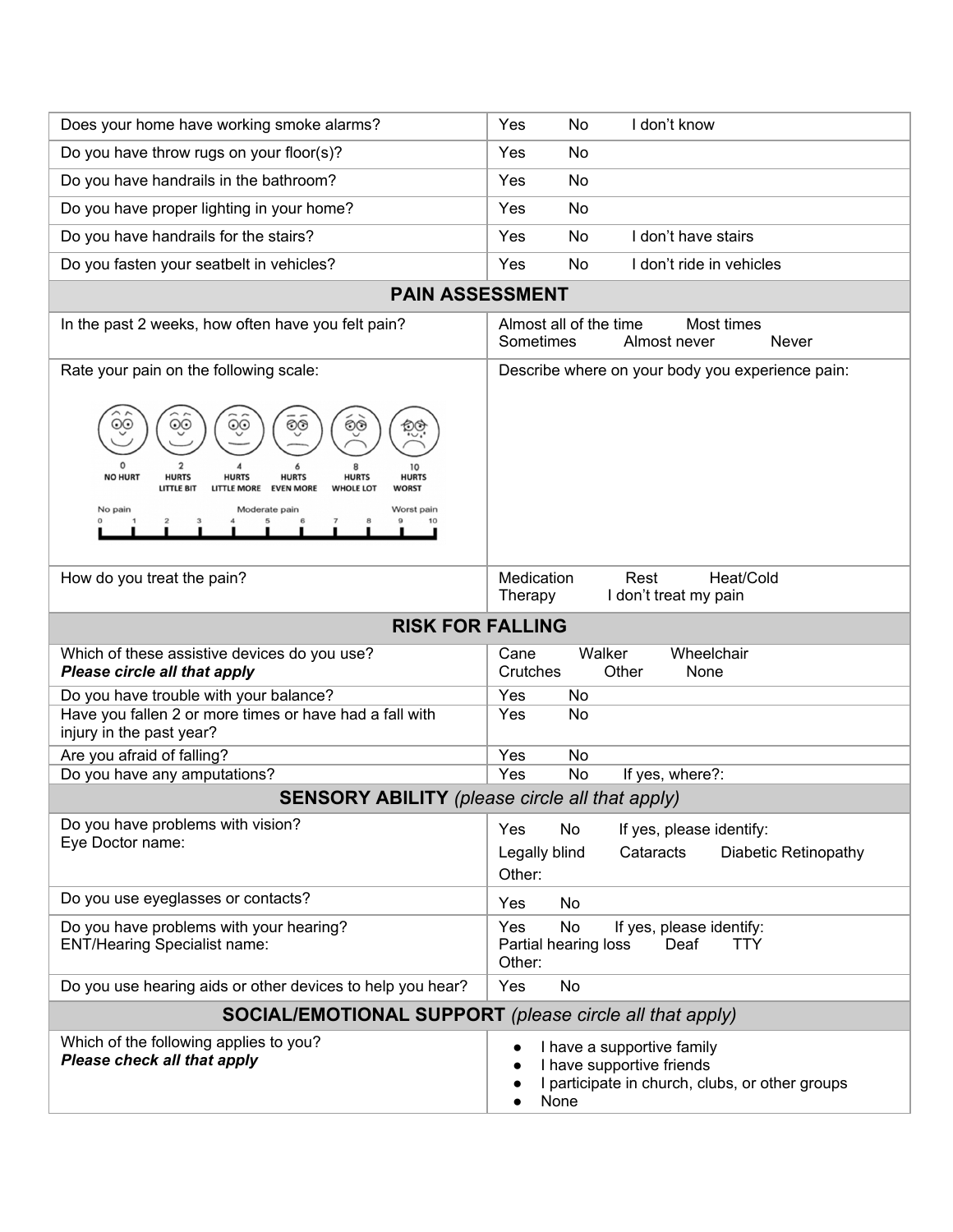| Does your home have working smoke alarms?                                                                                                                                                                                                                                                                                                   | Yes<br>No<br>I don't know                                                                                    |
|---------------------------------------------------------------------------------------------------------------------------------------------------------------------------------------------------------------------------------------------------------------------------------------------------------------------------------------------|--------------------------------------------------------------------------------------------------------------|
| Do you have throw rugs on your floor(s)?                                                                                                                                                                                                                                                                                                    | Yes<br>No                                                                                                    |
| Do you have handrails in the bathroom?                                                                                                                                                                                                                                                                                                      | Yes<br>No                                                                                                    |
| Do you have proper lighting in your home?                                                                                                                                                                                                                                                                                                   | No<br>Yes                                                                                                    |
| Do you have handrails for the stairs?                                                                                                                                                                                                                                                                                                       | I don't have stairs<br>Yes<br>No                                                                             |
| Do you fasten your seatbelt in vehicles?                                                                                                                                                                                                                                                                                                    | I don't ride in vehicles<br>Yes<br>No                                                                        |
|                                                                                                                                                                                                                                                                                                                                             |                                                                                                              |
| <b>PAIN ASSESSMENT</b>                                                                                                                                                                                                                                                                                                                      |                                                                                                              |
| In the past 2 weeks, how often have you felt pain?                                                                                                                                                                                                                                                                                          | Almost all of the time<br>Most times<br>Sometimes<br>Almost never<br><b>Never</b>                            |
| Rate your pain on the following scale:<br>୍ତ<br>୍ତ<br>୍ତ<br>୍ତ<br>୍ତ<br>$\overline{c}$<br>10<br><b>NO HURT</b><br><b>HURTS</b><br><b>HURTS</b><br><b>HURTS</b><br><b>HURTS</b><br><b>HURTS</b><br><b>EVEN MORE</b><br><b>LITTLE BIT</b><br><b>LITTLE MORE</b><br><b>WHOLE LOT</b><br><b>WORST</b><br>No pain<br>Worst pain<br>Moderate pain | Describe where on your body you experience pain:                                                             |
| How do you treat the pain?                                                                                                                                                                                                                                                                                                                  | Medication<br>Rest<br>Heat/Cold<br>I don't treat my pain<br>Therapy                                          |
| <b>RISK FOR FALLING</b>                                                                                                                                                                                                                                                                                                                     |                                                                                                              |
| Which of these assistive devices do you use?<br>Please circle all that apply                                                                                                                                                                                                                                                                | Walker<br>Wheelchair<br>Cane<br>Crutches<br>Other<br>None                                                    |
| Do you have trouble with your balance?                                                                                                                                                                                                                                                                                                      | Yes<br>No                                                                                                    |
| Have you fallen 2 or more times or have had a fall with<br>injury in the past year?                                                                                                                                                                                                                                                         | Yes<br>No                                                                                                    |
| Are you afraid of falling?                                                                                                                                                                                                                                                                                                                  | Yes<br>No                                                                                                    |
| Do you have any amputations?                                                                                                                                                                                                                                                                                                                | Yes<br>No<br>If yes, where?:                                                                                 |
| <b>SENSORY ABILITY</b> (please circle all that apply)                                                                                                                                                                                                                                                                                       |                                                                                                              |
| Do you have problems with vision?<br>Eye Doctor name:                                                                                                                                                                                                                                                                                       | <b>Yes</b><br>No<br>If yes, please identify:<br>Cataracts<br>Diabetic Retinopathy<br>Legally blind<br>Other: |
| Do you use eyeglasses or contacts?                                                                                                                                                                                                                                                                                                          | Yes<br>No                                                                                                    |
| Do you have problems with your hearing?                                                                                                                                                                                                                                                                                                     | Yes<br>No<br>If yes, please identify:                                                                        |
| <b>ENT/Hearing Specialist name:</b>                                                                                                                                                                                                                                                                                                         | Deaf<br><b>TTY</b><br>Partial hearing loss<br>Other:                                                         |
| Do you use hearing aids or other devices to help you hear?                                                                                                                                                                                                                                                                                  | Yes<br>No                                                                                                    |
| <b>SOCIAL/EMOTIONAL SUPPORT</b> (please circle all that apply)                                                                                                                                                                                                                                                                              |                                                                                                              |